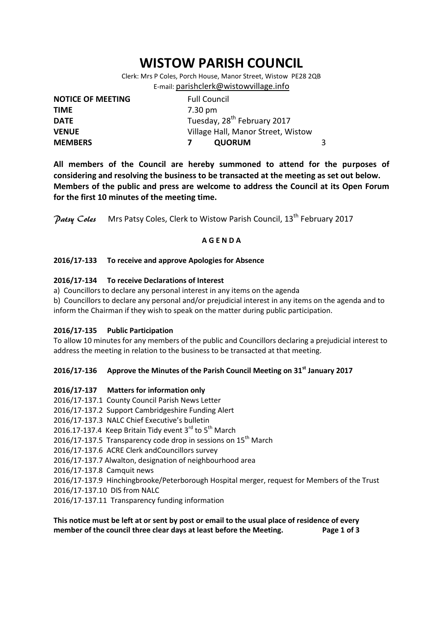# **WISTOW PARISH COUNCIL**

Clerk: Mrs P Coles, Porch House, Manor Street, Wistow PE28 2QB E-mail: [parishclerk@wistowvillage.info](mailto:parishclerk@wistowvillage.info)

| <b>NOTICE OF MEETING</b> | <b>Full Council</b>                     |   |
|--------------------------|-----------------------------------------|---|
| <b>TIME</b>              | 7.30 pm                                 |   |
| <b>DATE</b>              | Tuesday, 28 <sup>th</sup> February 2017 |   |
| <b>VENUE</b>             | Village Hall, Manor Street, Wistow      |   |
| <b>MEMBERS</b>           | <b>QUORUM</b>                           | 3 |

**All members of the Council are hereby summoned to attend for the purposes of considering and resolving the business to be transacted at the meeting as set out below. Members of the public and press are welcome to address the Council at its Open Forum for the first 10 minutes of the meeting time.**

Patsy Coles Mrs Patsy Coles, Clerk to Wistow Parish Council, 13<sup>th</sup> February 2017

# **A G E N D A**

# **2016/17-133 To receive and approve Apologies for Absence**

# **2016/17-134 To receive Declarations of Interest**

- a) Councillors to declare any personal interest in any items on the agenda
- b) Councillors to declare any personal and/or prejudicial interest in any items on the agenda and to inform the Chairman if they wish to speak on the matter during public participation.

#### **2016/17-135 Public Participation**

To allow 10 minutes for any members of the public and Councillors declaring a prejudicial interest to address the meeting in relation to the business to be transacted at that meeting.

# **2016/17-136 Approve the Minutes of the Parish Council Meeting on 31st January 2017**

# **2016/17-137 Matters for information only**

- 2016/17-137.1 County Council Parish News Letter
- 2016/17-137.2 Support Cambridgeshire Funding Alert
- 2016/17-137.3 NALC Chief Executive's bulletin
- 2016.17-137.4 Keep Britain Tidy event  $3^{rd}$  to  $5^{th}$  March
- 2016/17-137.5 Transparency code drop in sessions on 15<sup>th</sup> March
- 2016/17-137.6 ACRE Clerk andCouncillors survey
- 2016/17-137.7 Alwalton, designation of neighbourhood area
- 2016/17-137.8 Camquit news

2016/17-137.9 Hinchingbrooke/Peterborough Hospital merger, request for Members of the Trust

- 2016/17-137.10 DIS from NALC
- 2016/17-137.11 Transparency funding information

# **This notice must be left at or sent by post or email to the usual place of residence of every member of the council three clear days at least before the Meeting. Page 1 of 3**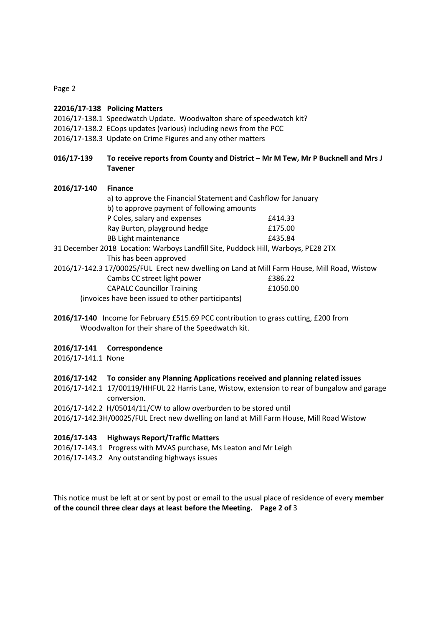Page 2

#### **22016/17-138 Policing Matters**

- 2016/17-138.1 Speedwatch Update. Woodwalton share of speedwatch kit?
- 2016/17-138.2 ECops updates (various) including news from the PCC
- 2016/17-138.3 Update on Crime Figures and any other matters
- **016/17-139 To receive reports from County and District – Mr M Tew, Mr P Bucknell and Mrs J Tavener**

| 2016/17-140 | <b>Finance</b>                                                                    |                                                                                             |  |
|-------------|-----------------------------------------------------------------------------------|---------------------------------------------------------------------------------------------|--|
|             | a) to approve the Financial Statement and Cashflow for January                    |                                                                                             |  |
|             | b) to approve payment of following amounts                                        |                                                                                             |  |
|             | P Coles, salary and expenses                                                      | £414.33                                                                                     |  |
|             | Ray Burton, playground hedge                                                      | £175.00                                                                                     |  |
|             | <b>BB Light maintenance</b>                                                       | £435.84                                                                                     |  |
|             | 31 December 2018 Location: Warboys Landfill Site, Puddock Hill, Warboys, PE28 2TX |                                                                                             |  |
|             | This has been approved                                                            |                                                                                             |  |
|             |                                                                                   | 2016/17-142.3 17/00025/FUL Erect new dwelling on Land at Mill Farm House, Mill Road, Wistow |  |
|             | Cambs CC street light power                                                       | £386.22                                                                                     |  |
|             | <b>CAPALC Councillor Training</b>                                                 | £1050.00                                                                                    |  |

(invoices have been issued to other participants)

**2016/17-140** Income for February £515.69 PCC contribution to grass cutting, £200 from Woodwalton for their share of the Speedwatch kit.

#### **2016/17-141 Correspondence**

2016/17-141.1 None

#### **2016/17-142 To consider any Planning Applications received and planning related issues**

- 2016/17-142.1 17/00119/HHFUL 22 Harris Lane, Wistow, extension to rear of bungalow and garage conversion.
- 2016/17-142.2 H/05014/11/CW to allow overburden to be stored until

2016/17-142.3H/00025/FUL Erect new dwelling on land at Mill Farm House, Mill Road Wistow

#### **2016/17-143 Highways Report/Traffic Matters**

- 2016/17-143.1 Progress with MVAS purchase, Ms Leaton and Mr Leigh
- 2016/17-143.2 Any outstanding highways issues

This notice must be left at or sent by post or email to the usual place of residence of every **member of the council three clear days at least before the Meeting. Page 2 of** 3